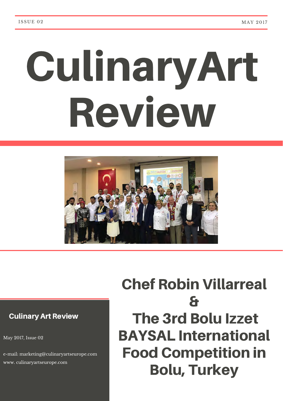# CulinaryArt Review



#### Culinary Art Review

May 2017, Issue 02

e-mail: marketing@culinaryartseurope.com www. culinaryartseurope.com

# Chef Robin Villarreal & The 3rd Bolu Izzet BAYSAL International Food Competition in Bolu, Turkey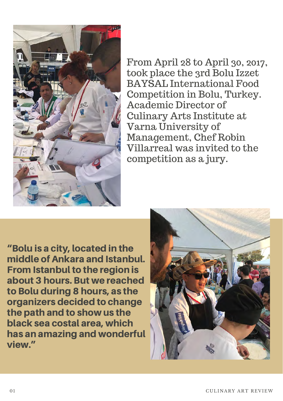

From April 28 to April 30, 2017, took place the 3rd Bolu Izzet BAYSAL International Food Competition in Bolu, Turkey. Academic Director of Culinary Arts Institute at Varna University of Management, Chef Robin Villarreal was invited to the competition as a jury.

"Bolu is a city, located in the middle of Ankara and Istanbul. From Istanbul to the region is about 3 hours. But we reached to Bolu during 8 hours, as the organizers decided to change the path and to show us the black sea costal area, which has an amazing and wonderful view."

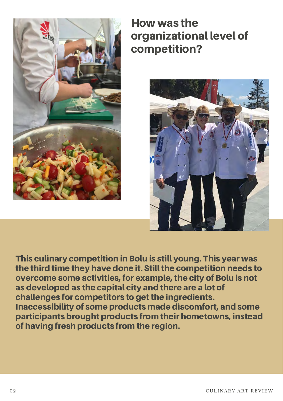

How was the organizational level of competition?



This culinary competition in Bolu is still young. This year was the third time they have done it. Still the competition needs to overcome some activities, for example, the city of Bolu is not as developed as the capital city and there are a lot of challenges for competitors to get the ingredients. Inaccessibility of some products made discomfort, and some participants brought products from their hometowns, instead of having fresh products from the region.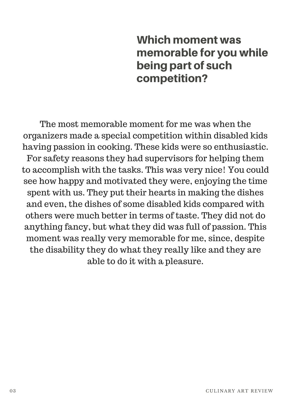## Which moment was memorable for you while being part of such competition?

The most memorable moment for me was when the organizers made a special competition within disabled kids having passion in cooking. These kids were so enthusiastic. For safety reasons they had supervisors for helping them to accomplish with the tasks. This was very nice! You could see how happy and motivated they were, enjoying the time spent with us. They put their hearts in making the dishes and even, the dishes of some disabled kids compared with others were much better in terms of taste. They did not do anything fancy, but what they did was full of passion. This moment was really very memorable for me, since, despite the disability they do what they really like and they are able to do it with a pleasure.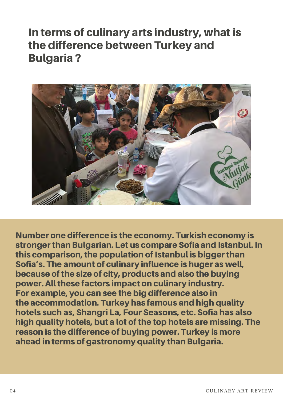## In terms of culinary arts industry, what is the difference between Turkey and Bulgaria ?



Number one difference is the economy. Turkish economy is stronger than Bulgarian. Let us compare Sofia and Istanbul. In this comparison, the population of Istanbul is bigger than Sofia's. The amount of culinary influence is huger as well, because of the size of city, products and also the buying power. All these factors impact on culinary industry. For example, you can see the big difference also in the accommodation. Turkey has famous and high quality hotels such as, Shangri La, Four Seasons, etc. Sofia has also high quality hotels, but a lot of the top hotels are missing. The reason is the difference of buying power. Turkey is more ahead in terms of gastronomy quality than Bulgaria.